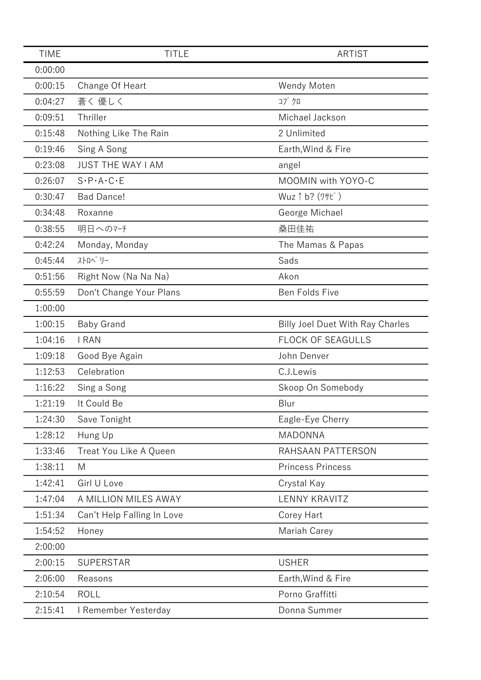| <b>TIME</b> | <b>TITLE</b>                        | <b>ARTIST</b>                           |
|-------------|-------------------------------------|-----------------------------------------|
| 0:00:00     |                                     |                                         |
| 0:00:15     | Change Of Heart                     | Wendy Moten                             |
| 0:04:27     | 蒼く 優しく                              | コブクロ                                    |
| 0:09:51     | Thriller                            | Michael Jackson                         |
| 0:15:48     | Nothing Like The Rain               | 2 Unlimited                             |
| 0:19:46     | Sing A Song                         | Earth, Wind & Fire                      |
| 0:23:08     | <b>JUST THE WAY I AM</b>            | angel                                   |
| 0:26:07     | $S \cdot P \cdot A \cdot C \cdot E$ | MOOMIN with YOYO-C                      |
| 0:30:47     | <b>Bad Dance!</b>                   | Wuz 1 b? (7サビ)                          |
| 0:34:48     | Roxanne                             | George Michael                          |
| 0:38:55     | 明日へのマチ                              | 桑田佳祐                                    |
| 0:42:24     | Monday, Monday                      | The Mamas & Papas                       |
| 0:45:44     | ストロヘ゛リー                             | Sads                                    |
| 0:51:56     | Right Now (Na Na Na)                | Akon                                    |
| 0:55:59     | Don't Change Your Plans             | Ben Folds Five                          |
| 1:00:00     |                                     |                                         |
| 1:00:15     | <b>Baby Grand</b>                   | <b>Billy Joel Duet With Ray Charles</b> |
| 1:04:16     | I RAN                               | FLOCK OF SEAGULLS                       |
| 1:09:18     | Good Bye Again                      | John Denver                             |
| 1:12:53     | Celebration                         | C.J.Lewis                               |
| 1:16:22     | Sing a Song                         | Skoop On Somebody                       |
| 1:21:19     | It Could Be                         | Blur                                    |
| 1:24:30     | Save Tonight                        | Eagle-Eye Cherry                        |
| 1:28:12     | Hung Up                             | <b>MADONNA</b>                          |
| 1:33:46     | Treat You Like A Queen              | RAHSAAN PATTERSON                       |
| 1:38:11     | M                                   | <b>Princess Princess</b>                |
| 1:42:41     | Girl U Love                         | Crystal Kay                             |
| 1:47:04     | A MILLION MILES AWAY                | <b>LENNY KRAVITZ</b>                    |
| 1:51:34     | Can't Help Falling In Love          | Corey Hart                              |
| 1:54:52     | Honey                               | Mariah Carey                            |
| 2:00:00     |                                     |                                         |
| 2:00:15     | <b>SUPERSTAR</b>                    | <b>USHER</b>                            |
| 2:06:00     | Reasons                             | Earth, Wind & Fire                      |
| 2:10:54     | <b>ROLL</b>                         | Porno Graffitti                         |
| 2:15:41     | I Remember Yesterday                | Donna Summer                            |
|             |                                     |                                         |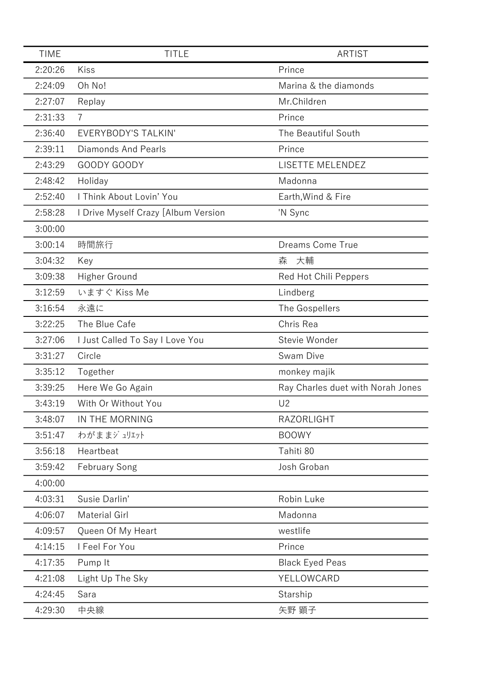| <b>TIME</b> | <b>TITLE</b>                        | <b>ARTIST</b>                     |
|-------------|-------------------------------------|-----------------------------------|
| 2:20:26     | Kiss                                | Prince                            |
| 2:24:09     | Oh No!                              | Marina & the diamonds             |
| 2:27:07     | Replay                              | Mr.Children                       |
| 2:31:33     | $\overline{7}$                      | Prince                            |
| 2:36:40     | EVERYBODY'S TALKIN'                 | The Beautiful South               |
| 2:39:11     | Diamonds And Pearls                 | Prince                            |
| 2:43:29     | GOODY GOODY                         | LISETTE MELENDEZ                  |
| 2:48:42     | Holiday                             | Madonna                           |
| 2:52:40     | I Think About Lovin' You            | Earth, Wind & Fire                |
| 2:58:28     | I Drive Myself Crazy [Album Version | 'N Sync                           |
| 3:00:00     |                                     |                                   |
| 3:00:14     | 時間旅行                                | Dreams Come True                  |
| 3:04:32     | Key                                 | 大輔<br>森                           |
| 3:09:38     | Higher Ground                       | Red Hot Chili Peppers             |
| 3:12:59     | いますぐ Kiss Me                        | Lindberg                          |
| 3:16:54     | 永遠に                                 | The Gospellers                    |
| 3:22:25     | The Blue Cafe                       | Chris Rea                         |
| 3:27:06     | I Just Called To Say I Love You     | Stevie Wonder                     |
| 3:31:27     | Circle                              | Swam Dive                         |
| 3:35:12     | Together                            | monkey majik                      |
| 3:39:25     | Here We Go Again                    | Ray Charles duet with Norah Jones |
| 3:43:19     | With Or Without You                 | U <sub>2</sub>                    |
| 3:48:07     | IN THE MORNING                      | RAZORLIGHT                        |
| 3:51:47     | わがままジュリェット                          | <b>BOOWY</b>                      |
| 3:56:18     | Heartbeat                           | Tahiti 80                         |
| 3:59:42     | <b>February Song</b>                | Josh Groban                       |
| 4:00:00     |                                     |                                   |
| 4:03:31     | Susie Darlin'                       | Robin Luke                        |
| 4:06:07     | <b>Material Girl</b>                | Madonna                           |
| 4:09:57     | Queen Of My Heart                   | westlife                          |
| 4:14:15     | I Feel For You                      | Prince                            |
| 4:17:35     | Pump It                             | <b>Black Eyed Peas</b>            |
| 4:21:08     | Light Up The Sky                    | YELLOWCARD                        |
| 4:24:45     | Sara                                | Starship                          |
| 4:29:30     | 中央線                                 | 矢野 顕子                             |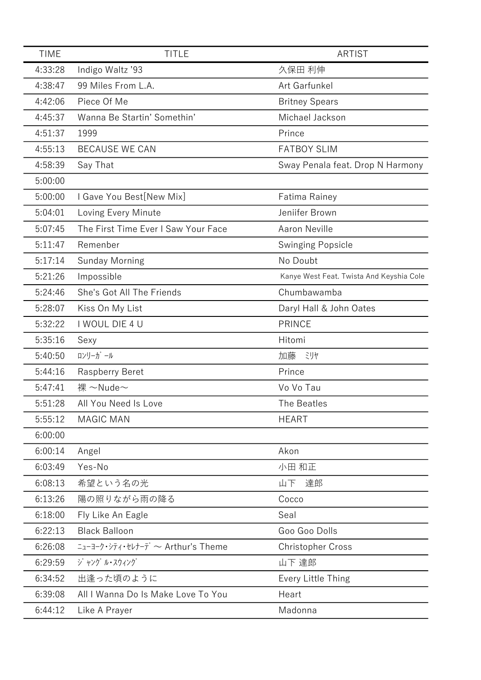| <b>TIME</b> | <b>TITLE</b>                        | ARTIST                                   |
|-------------|-------------------------------------|------------------------------------------|
| 4:33:28     | Indigo Waltz '93                    | 久保田 利伸                                   |
| 4:38:47     | 99 Miles From L.A.                  | Art Garfunkel                            |
| 4:42:06     | Piece Of Me                         | <b>Britney Spears</b>                    |
| 4:45:37     | Wanna Be Startin' Somethin'         | Michael Jackson                          |
| 4:51:37     | 1999                                | Prince                                   |
| 4:55:13     | <b>BECAUSE WE CAN</b>               | <b>FATBOY SLIM</b>                       |
| 4:58:39     | Say That                            | Sway Penala feat. Drop N Harmony         |
| 5:00:00     |                                     |                                          |
| 5:00:00     | I Gave You Best[New Mix]            | Fatima Rainey                            |
| 5:04:01     | Loving Every Minute                 | Jeniifer Brown                           |
| 5:07:45     | The First Time Ever I Saw Your Face | <b>Aaron Neville</b>                     |
| 5:11:47     | Remenber                            | <b>Swinging Popsicle</b>                 |
| 5:17:14     | <b>Sunday Morning</b>               | No Doubt                                 |
| 5:21:26     | Impossible                          | Kanye West Feat. Twista And Keyshia Cole |
| 5:24:46     | She's Got All The Friends           | Chumbawamba                              |
| 5:28:07     | Kiss On My List                     | Daryl Hall & John Oates                  |
| 5:32:22     | I WOUL DIE 4 U                      | <b>PRINCE</b>                            |
| 5:35:16     | Sexy                                | Hitomi                                   |
| 5:40:50     | ロンリーガール                             | 加藤<br>ミリヤ                                |
| 5:44:16     | Raspberry Beret                     | Prince                                   |
| 5:47:41     | 裸 ~Nude~                            | Vo Vo Tau                                |
| 5:51:28     | All You Need Is Love                | The Beatles                              |
| 5:55:12     | <b>MAGIC MAN</b>                    | <b>HEART</b>                             |
| 6:00:00     |                                     |                                          |
| 6:00:14     | Angel                               | Akon                                     |
| 6:03:49     | Yes-No                              | 小田 和正                                    |
| 6:08:13     | 希望という名の光                            | 山下<br>達郎                                 |
| 6:13:26     | 陽の照りながら雨の降る                         | Cocco                                    |
| 6:18:00     | Fly Like An Eagle                   | Seal                                     |
| 6:22:13     | <b>Black Balloon</b>                | Goo Goo Dolls                            |
| 6:26:08     |                                     | <b>Christopher Cross</b>                 |
| 6:29:59     | ジャング ル・スウィング                        | 山下 達郎                                    |
| 6:34:52     | 出逢った頃のように                           | Every Little Thing                       |
| 6:39:08     | All I Wanna Do Is Make Love To You  | Heart                                    |
| 6:44:12     | Like A Prayer                       | Madonna                                  |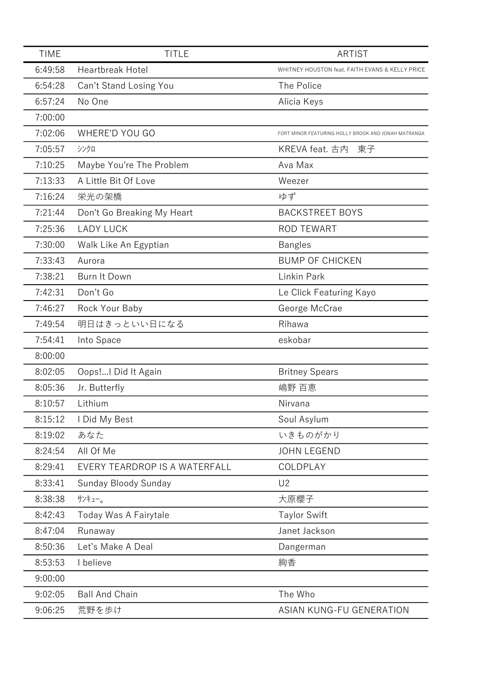| <b>TIME</b> | <b>TITLE</b>                  | <b>ARTIST</b>                                       |
|-------------|-------------------------------|-----------------------------------------------------|
| 6:49:58     | <b>Heartbreak Hotel</b>       | WHITNEY HOUSTON feat. FAITH EVANS & KELLY PRICE     |
| 6:54:28     | Can't Stand Losing You        | The Police                                          |
| 6:57:24     | No One                        | Alicia Keys                                         |
| 7:00:00     |                               |                                                     |
| 7:02:06     | WHERE'D YOU GO                | FORT MINOR FEATURING HOLLY BROOK AND JONAH MATRANGA |
| 7:05:57     | シンクロ                          | KREVA feat. 古内<br>東子                                |
| 7:10:25     | Maybe You're The Problem      | Ava Max                                             |
| 7:13:33     | A Little Bit Of Love          | Weezer                                              |
| 7:16:24     | 栄光の架橋                         | ゆず                                                  |
| 7:21:44     | Don't Go Breaking My Heart    | <b>BACKSTREET BOYS</b>                              |
| 7:25:36     | <b>LADY LUCK</b>              | <b>ROD TEWART</b>                                   |
| 7:30:00     | Walk Like An Egyptian         | <b>Bangles</b>                                      |
| 7:33:43     | Aurora                        | <b>BUMP OF CHICKEN</b>                              |
| 7:38:21     | Burn It Down                  | Linkin Park                                         |
| 7:42:31     | Don't Go                      | Le Click Featuring Kayo                             |
| 7:46:27     | Rock Your Baby                | George McCrae                                       |
| 7:49:54     | 明日はきっといい日になる                  | Rihawa                                              |
| 7:54:41     | Into Space                    | eskobar                                             |
| 8:00:00     |                               |                                                     |
| 8:02:05     | Oops! I Did It Again          | <b>Britney Spears</b>                               |
| 8:05:36     | Jr. Butterfly                 | 嶋野 百恵                                               |
| 8:10:57     | Lithium                       | Nirvana                                             |
| 8:15:12     | I Did My Best                 | Soul Asylum                                         |
| 8:19:02     | あなた                           | いきものがかり                                             |
| 8:24:54     | All Of Me                     | <b>JOHN LEGEND</b>                                  |
| 8:29:41     | EVERY TEARDROP IS A WATERFALL | COLDPLAY                                            |
| 8:33:41     | Sunday Bloody Sunday          | U <sub>2</sub>                                      |
| 8:38:38     | サンキュー。                        | 大原櫻子                                                |
| 8:42:43     | Today Was A Fairytale         | <b>Taylor Swift</b>                                 |
| 8:47:04     | Runaway                       | Janet Jackson                                       |
| 8:50:36     | Let's Make A Deal             | Dangerman                                           |
| 8:53:53     | I believe                     | 絢香                                                  |
| 9:00:00     |                               |                                                     |
| 9:02:05     | <b>Ball And Chain</b>         | The Who                                             |
| 9:06:25     | 荒野を歩け                         | ASIAN KUNG-FU GENERATION                            |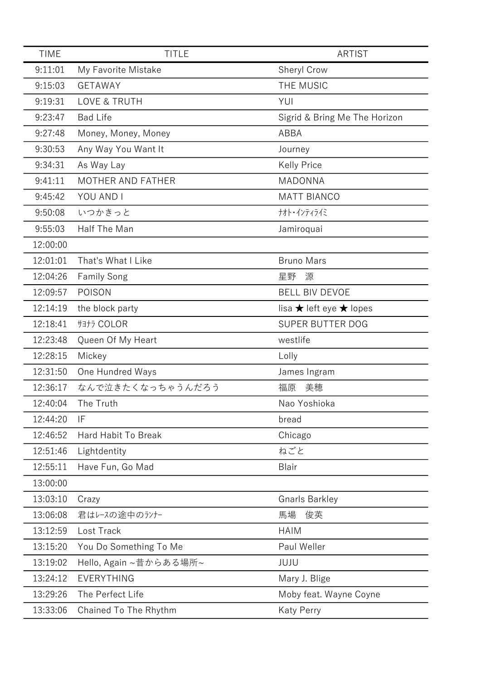| <b>TIME</b> | <b>TITLE</b>             | <b>ARTIST</b>                             |
|-------------|--------------------------|-------------------------------------------|
| 9:11:01     | My Favorite Mistake      | Sheryl Crow                               |
| 9:15:03     | <b>GETAWAY</b>           | THE MUSIC                                 |
| 9:19:31     | <b>LOVE &amp; TRUTH</b>  | YUI                                       |
| 9:23:47     | <b>Bad Life</b>          | Sigrid & Bring Me The Horizon             |
| 9:27:48     | Money, Money, Money      | <b>ABBA</b>                               |
| 9:30:53     | Any Way You Want It      | Journey                                   |
| 9:34:31     | As Way Lay               | <b>Kelly Price</b>                        |
| 9:41:11     | <b>MOTHER AND FATHER</b> | <b>MADONNA</b>                            |
| 9:45:42     | YOU AND I                | <b>MATT BIANCO</b>                        |
| 9:50:08     | いつかきっと                   | ナオト・インティライミ                               |
| 9:55:03     | Half The Man             | Jamiroquai                                |
| 12:00:00    |                          |                                           |
| 12:01:01    | That's What I Like       | <b>Bruno Mars</b>                         |
| 12:04:26    | <b>Family Song</b>       | 星野<br>源                                   |
| 12:09:57    | POISON                   | <b>BELL BIV DEVOE</b>                     |
| 12:14:19    | the block party          | lisa $\bigstar$ left eye $\bigstar$ lopes |
| 12:18:41    | サヨナラ COLOR               | <b>SUPER BUTTER DOG</b>                   |
| 12:23:48    | Queen Of My Heart        | westlife                                  |
| 12:28:15    | Mickey                   | Lolly                                     |
| 12:31:50    | One Hundred Ways         | James Ingram                              |
| 12:36:17    | なんで泣きたくなっちゃうんだろう         | 美穂<br>福原                                  |
| 12:40:04    | The Truth                | Nao Yoshioka                              |
| 12:44:20    | IF                       | bread                                     |
| 12:46:52    | Hard Habit To Break      | Chicago                                   |
| 12:51:46    | Lightdentity             | ねごと                                       |
| 12:55:11    | Have Fun, Go Mad         | Blair                                     |
| 13:00:00    |                          |                                           |
| 13:03:10    | Crazy                    | <b>Gnarls Barkley</b>                     |
| 13:06:08    | 君はレースの途中のランナー            | 馬場<br>俊英                                  |
| 13:12:59    | Lost Track               | <b>HAIM</b>                               |
| 13:15:20    | You Do Something To Me   | Paul Weller                               |
| 13:19:02    | Hello, Again ~昔からある場所~   | JUJU                                      |
| 13:24:12    | EVERYTHING               | Mary J. Blige                             |
| 13:29:26    | The Perfect Life         | Moby feat. Wayne Coyne                    |
| 13:33:06    | Chained To The Rhythm    | <b>Katy Perry</b>                         |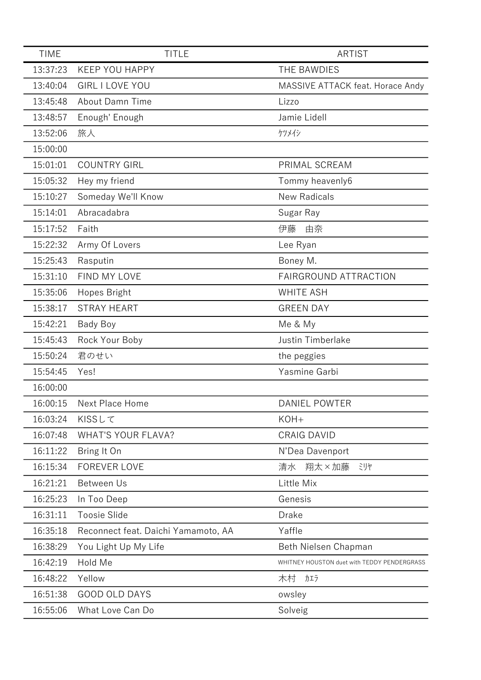| <b>TIME</b> | <b>TITLE</b>                        | <b>ARTIST</b>                               |
|-------------|-------------------------------------|---------------------------------------------|
| 13:37:23    | <b>KEEP YOU HAPPY</b>               | THE BAWDIES                                 |
| 13:40:04    | <b>GIRL I LOVE YOU</b>              | MASSIVE ATTACK feat. Horace Andy            |
| 13:45:48    | About Damn Time                     | Lizzo                                       |
| 13:48:57    | Enough' Enough                      | Jamie Lidell                                |
| 13:52:06    | 旅人                                  | ケツメイシ                                       |
| 15:00:00    |                                     |                                             |
| 15:01:01    | <b>COUNTRY GIRL</b>                 | PRIMAL SCREAM                               |
| 15:05:32    | Hey my friend                       | Tommy heavenly6                             |
| 15:10:27    | Someday We'll Know                  | <b>New Radicals</b>                         |
| 15:14:01    | Abracadabra                         | Sugar Ray                                   |
| 15:17:52    | Faith                               | 伊藤<br>由奈                                    |
| 15:22:32    | Army Of Lovers                      | Lee Ryan                                    |
| 15:25:43    | Rasputin                            | Boney M.                                    |
| 15:31:10    | FIND MY LOVE                        | <b>FAIRGROUND ATTRACTION</b>                |
| 15:35:06    | Hopes Bright                        | <b>WHITE ASH</b>                            |
| 15:38:17    | <b>STRAY HEART</b>                  | <b>GREEN DAY</b>                            |
| 15:42:21    | Bady Boy                            | Me & My                                     |
| 15:45:43    | Rock Your Boby                      | Justin Timberlake                           |
| 15:50:24    | 君のせい                                | the peggies                                 |
| 15:54:45    | Yes!                                | Yasmine Garbi                               |
| 16:00:00    |                                     |                                             |
| 16:00:15    | Next Place Home                     | <b>DANIEL POWTER</b>                        |
| 16:03:24    | KISSLT                              | KOH+                                        |
| 16:07:48    | <b>WHAT'S YOUR FLAVA?</b>           | <b>CRAIG DAVID</b>                          |
| 16:11:22    | Bring It On                         | N'Dea Davenport                             |
| 16:15:34    | <b>FOREVER LOVE</b>                 | 翔太×加藤<br>清水<br>ミリヤ                          |
| 16:21:21    | Between Us                          | Little Mix                                  |
| 16:25:23    | In Too Deep                         | Genesis                                     |
| 16:31:11    | <b>Toosie Slide</b>                 | Drake                                       |
| 16:35:18    | Reconnect feat. Daichi Yamamoto, AA | Yaffle                                      |
| 16:38:29    | You Light Up My Life                | Beth Nielsen Chapman                        |
| 16:42:19    | Hold Me                             | WHITNEY HOUSTON duet with TEDDY PENDERGRASS |
| 16:48:22    | Yellow                              | 木村<br>カエラ                                   |
| 16:51:38    | <b>GOOD OLD DAYS</b>                | owsley                                      |
| 16:55:06    | What Love Can Do                    | Solveig                                     |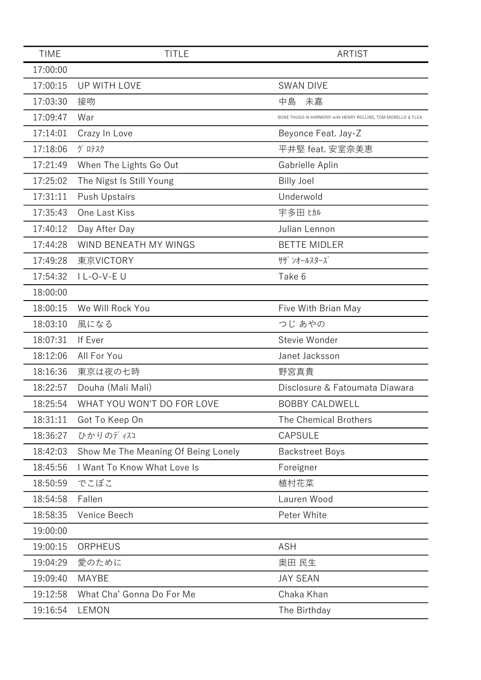| <b>TIME</b> | <b>TITLE</b>                        | <b>ARTIST</b>                                               |
|-------------|-------------------------------------|-------------------------------------------------------------|
| 17:00:00    |                                     |                                                             |
| 17:00:15    | UP WITH LOVE                        | <b>SWAN DIVE</b>                                            |
| 17:03:30    | 接吻                                  | 中島<br>未嘉                                                    |
| 17:09:47    | War                                 | BONE THUGS-N-HARMONY with HENRY ROLLINS, TOM MORELLO & FLEA |
| 17:14:01    | Crazy In Love                       | Beyonce Feat. Jay-Z                                         |
| 17:18:06    | グロテスク                               | 平井堅 feat. 安室奈美恵                                             |
| 17:21:49    | When The Lights Go Out              | Gabrielle Aplin                                             |
| 17:25:02    | The Nigst Is Still Young            | <b>Billy Joel</b>                                           |
| 17:31:11    | <b>Push Upstairs</b>                | Underwold                                                   |
| 17:35:43    | One Last Kiss                       | 宇多田 ヒカル                                                     |
| 17:40:12    | Day After Day                       | Julian Lennon                                               |
| 17:44:28    | WIND BENEATH MY WINGS               | <b>BETTE MIDLER</b>                                         |
| 17:49:28    | 東京VICTORY                           | サザ ンオールスターズ                                                 |
| 17:54:32    | I L-O-V-E U                         | Take 6                                                      |
| 18:00:00    |                                     |                                                             |
| 18:00:15    | We Will Rock You                    | Five With Brian May                                         |
| 18:03:10    | 風になる                                | つじ あやの                                                      |
| 18:07:31    | If Ever                             | Stevie Wonder                                               |
| 18:12:06    | All For You                         | Janet Jacksson                                              |
| 18:16:36    | 東京は夜の七時                             | 野宮真貴                                                        |
| 18:22:57    | Douha (Mali Mali)                   | Disclosure & Fatoumata Diawara                              |
| 18:25:54    | WHAT YOU WON'T DO FOR LOVE          | <b>BOBBY CALDWELL</b>                                       |
| 18:31:11    | Got To Keep On                      | The Chemical Brothers                                       |
| 18:36:27    | ひかりのディスコ                            | CAPSULE                                                     |
| 18:42:03    | Show Me The Meaning Of Being Lonely | <b>Backstreet Boys</b>                                      |
| 18:45:56    | I Want To Know What Love Is         | Foreigner                                                   |
| 18:50:59    | でこぼこ                                | 植村花菜                                                        |
| 18:54:58    | Fallen                              | Lauren Wood                                                 |
| 18:58:35    | Venice Beech                        | Peter White                                                 |
| 19:00:00    |                                     |                                                             |
| 19:00:15    | ORPHEUS                             | <b>ASH</b>                                                  |
| 19:04:29    | 愛のために                               | 奥田 民生                                                       |
| 19:09:40    | MAYBE                               | <b>JAY SEAN</b>                                             |
| 19:12:58    | What Cha' Gonna Do For Me           | Chaka Khan                                                  |
| 19:16:54    | LEMON                               | The Birthday                                                |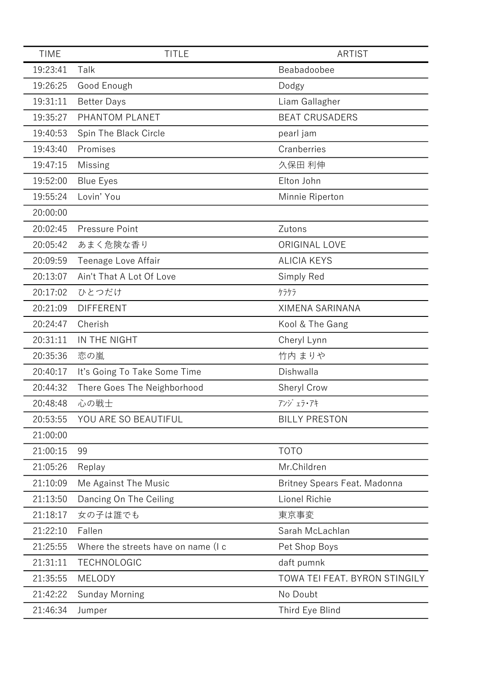| <b>TIME</b> | <b>TITLE</b>                        | <b>ARTIST</b>                                                |
|-------------|-------------------------------------|--------------------------------------------------------------|
| 19:23:41    | Talk                                | Beabadoobee                                                  |
| 19:26:25    | Good Enough                         | Dodgy                                                        |
| 19:31:11    | <b>Better Days</b>                  | Liam Gallagher                                               |
| 19:35:27    | PHANTOM PLANET                      | <b>BEAT CRUSADERS</b>                                        |
| 19:40:53    | Spin The Black Circle               | pearl jam                                                    |
| 19:43:40    | Promises                            | Cranberries                                                  |
| 19:47:15    | <b>Missing</b>                      | 久保田 利伸                                                       |
| 19:52:00    | <b>Blue Eyes</b>                    | Elton John                                                   |
| 19:55:24    | Lovin' You                          | Minnie Riperton                                              |
| 20:00:00    |                                     |                                                              |
| 20:02:45    | Pressure Point                      | Zutons                                                       |
| 20:05:42    | あまく危険な香り                            | ORIGINAL LOVE                                                |
| 20:09:59    | Teenage Love Affair                 | <b>ALICIA KEYS</b>                                           |
| 20:13:07    | Ain't That A Lot Of Love            | Simply Red                                                   |
| 20:17:02    | ひとつだけ                               | ケラケラ                                                         |
| 20:21:09    | <b>DIFFERENT</b>                    | <b>XIMENA SARINANA</b>                                       |
| 20:24:47    | Cherish                             | Kool & The Gang                                              |
| 20:31:11    | IN THE NIGHT                        | Cheryl Lynn                                                  |
| 20:35:36    | 恋の嵐                                 | 竹内 まりや                                                       |
| 20:40:17    | It's Going To Take Some Time        | Dishwalla                                                    |
| 20:44:32    | There Goes The Neighborhood         | Sheryl Crow                                                  |
| 20:48:48    | 心の戦士                                | $7'$ $\frac{1}{2}$ $\frac{1}{2}$ $\frac{1}{2}$ $\frac{1}{2}$ |
| 20:53:55    | YOU ARE SO BEAUTIFUL                | <b>BILLY PRESTON</b>                                         |
| 21:00:00    |                                     |                                                              |
| 21:00:15    | 99                                  | <b>TOTO</b>                                                  |
| 21:05:26    | Replay                              | Mr.Children                                                  |
| 21:10:09    | Me Against The Music                | <b>Britney Spears Feat. Madonna</b>                          |
| 21:13:50    | Dancing On The Ceiling              | Lionel Richie                                                |
| 21:18:17    | 女の子は誰でも                             | 東京事変                                                         |
| 21:22:10    | Fallen                              | Sarah McLachlan                                              |
| 21:25:55    | Where the streets have on name (I c | Pet Shop Boys                                                |
| 21:31:11    | <b>TECHNOLOGIC</b>                  | daft pumnk                                                   |
| 21:35:55    | MELODY                              | TOWA TEI FEAT. BYRON STINGILY                                |
| 21:42:22    | <b>Sunday Morning</b>               | No Doubt                                                     |
| 21:46:34    | Jumper                              | Third Eye Blind                                              |